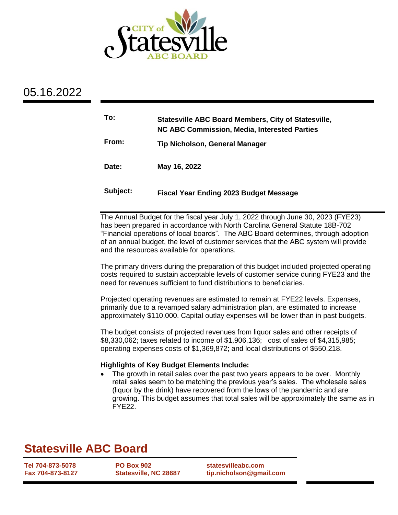

## 05.16.2022

| To:      | Statesville ABC Board Members, City of Statesville,<br>NC ABC Commission, Media, Interested Parties |
|----------|-----------------------------------------------------------------------------------------------------|
| From:    | Tip Nicholson, General Manager                                                                      |
| Date:    | May 16, 2022                                                                                        |
| Subject: | <b>Fiscal Year Ending 2023 Budget Message</b>                                                       |

The Annual Budget for the fiscal year July 1, 2022 through June 30, 2023 (FYE23) has been prepared in accordance with North Carolina General Statute 18B-702 "Financial operations of local boards". The ABC Board determines, through adoption of an annual budget, the level of customer services that the ABC system will provide and the resources available for operations.

The primary drivers during the preparation of this budget included projected operating costs required to sustain acceptable levels of customer service during FYE23 and the need for revenues sufficient to fund distributions to beneficiaries.

Projected operating revenues are estimated to remain at FYE22 levels. Expenses, primarily due to a revamped salary administration plan, are estimated to increase approximately \$110,000. Capital outlay expenses will be lower than in past budgets.

The budget consists of projected revenues from liquor sales and other receipts of \$8,330,062; taxes related to income of \$1,906,136; cost of sales of \$4,315,985; operating expenses costs of \$1,369,872; and local distributions of \$550,218.

### **Highlights of Key Budget Elements Include:**

• The growth in retail sales over the past two years appears to be over. Monthly retail sales seem to be matching the previous year's sales. The wholesale sales (liquor by the drink) have recovered from the lows of the pandemic and are growing. This budget assumes that total sales will be approximately the same as in FYE22.

# **Statesville ABC Board**

**Tel 704-873-5078 Fax 704-873-8127** **PO Box 902 Statesville, NC 28687** **statesvilleabc.com tip.nicholson@gmail.com**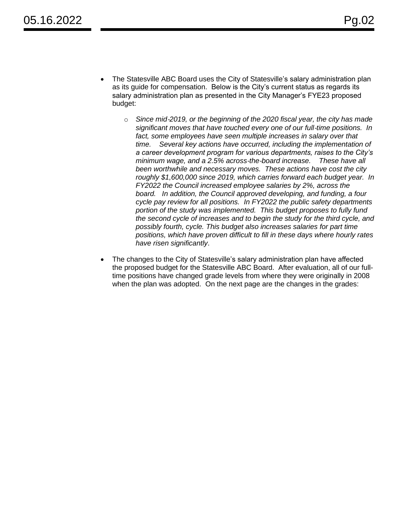- The Statesville ABC Board uses the City of Statesville's salary administration plan as its guide for compensation. Below is the City's current status as regards its salary administration plan as presented in the City Manager's FYE23 proposed budget:
	- o *Since mid*‐*2019, or the beginning of the 2020 fiscal year, the city has made significant moves that have touched every one of our full*‐*time positions. In fact, some employees have seen multiple increases in salary over that time. Several key actions have occurred, including the implementation of a career development program for various departments, raises to the City's minimum wage, and a 2.5% across*‐*the*‐*board increase. These have all been worthwhile and necessary moves. These actions have cost the city roughly \$1,600,000 since 2019, which carries forward each budget year. In FY2022 the Council increased employee salaries by 2%, across the board. In addition, the Council approved developing, and funding, a four cycle pay review for all positions. In FY2022 the public safety departments portion of the study was implemented. This budget proposes to fully fund the second cycle of increases and to begin the study for the third cycle, and possibly fourth, cycle. This budget also increases salaries for part time positions, which have proven difficult to fill in these days where hourly rates have risen significantly*.
- The changes to the City of Statesville's salary administration plan have affected the proposed budget for the Statesville ABC Board. After evaluation, all of our fulltime positions have changed grade levels from where they were originally in 2008 when the plan was adopted. On the next page are the changes in the grades: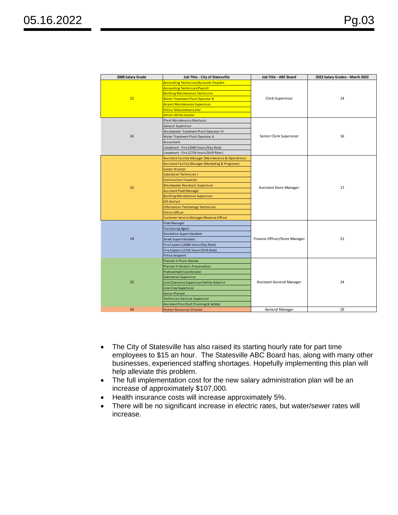| 2008 Salary Grade | Job Title - City of Statesville                                  | Job Title - ABC Board          | 2022 Salary Grades - March 2022 |  |
|-------------------|------------------------------------------------------------------|--------------------------------|---------------------------------|--|
|                   | <b>Accounting Technician/Accounts Payable</b>                    |                                |                                 |  |
|                   | <b>Accounting Technician/Payroll</b>                             |                                |                                 |  |
|                   | <b>Building Maintenance Technician</b>                           |                                | 14                              |  |
| 12                | <b>Water Treatment Plant Operator B</b>                          | Clerk Supervisor               |                                 |  |
|                   | <b>Airport Maintenance Supervisor</b>                            |                                |                                 |  |
|                   | Police Telecommunicator                                          |                                |                                 |  |
|                   | <b>Senior Utility Locator</b>                                    |                                |                                 |  |
|                   | Plant Maintenance Mechanic                                       |                                | 16                              |  |
|                   | General Supervisor                                               |                                |                                 |  |
|                   | Wastewater Treatment Plant Operator IV                           |                                |                                 |  |
| 14                | Water Treatment Plant Operator A                                 | Senior Clerk Supervisor        |                                 |  |
|                   | Accountant                                                       |                                |                                 |  |
|                   | Lieutenant - Fire (2080 hours/Day Rate)                          |                                |                                 |  |
|                   | Lieutenant - Fire (2756 hours/Shift Rate)                        |                                |                                 |  |
|                   | <b>Assistant Facility Manager (Maintenance &amp; Operations)</b> |                                | 17                              |  |
|                   | Assistant Facility Manager (Marketing & Programs)                |                                |                                 |  |
|                   | <b>Center Director</b>                                           |                                |                                 |  |
|                   | <b>Substation Technician I</b>                                   | <b>Assistant Store Manager</b> |                                 |  |
|                   | <b>Construction Inspector</b>                                    |                                |                                 |  |
| 15                | <b>Wastewater Residuals Supervisor</b>                           |                                |                                 |  |
|                   | <b>Assistant Fleet Manager</b>                                   |                                |                                 |  |
|                   | <b>Building Maintenance Supervisor</b>                           |                                |                                 |  |
|                   | <b>GIS Analyst</b>                                               |                                |                                 |  |
|                   | Information Technology Technician                                |                                |                                 |  |
|                   | <b>Police Officer</b>                                            |                                |                                 |  |
|                   | Customer Service Manager/Revenue Officer                         |                                |                                 |  |
|                   | <b>Fleet Manager</b>                                             |                                | 21                              |  |
|                   | <b>Purchasing Agent</b>                                          |                                |                                 |  |
|                   | Sanitation Superintendent                                        | Finance Officer/Store Manager  |                                 |  |
| 19                | <b>Street Superintendent</b>                                     |                                |                                 |  |
|                   | Fire Captain (2080 hours/Day Rate)                               |                                |                                 |  |
|                   | Fire Captain (2756 hours/Shift Rate)                             |                                |                                 |  |
|                   | Police Sergeant                                                  |                                |                                 |  |
|                   | Planner II-Plans Review                                          |                                | 24                              |  |
|                   | Planner II-Historic Preservation                                 |                                |                                 |  |
|                   | Pretreatment Coordinator                                         |                                |                                 |  |
|                   | <b>Substation Supervisor</b>                                     |                                |                                 |  |
| 21                | Line Clearance Supervisor/Utility Arborist                       | Assistant General Manager      |                                 |  |
|                   | Line Crew Supervisor                                             |                                |                                 |  |
|                   | <b>Senior Planner</b>                                            |                                |                                 |  |
|                   | Technician Services Supervisor                                   |                                |                                 |  |
|                   | Assistant Fire Chief (Training & Safety)                         |                                |                                 |  |
| 24                | Human Resources Director                                         | General Manager                | 29                              |  |

- The City of Statesville has also raised its starting hourly rate for part time employees to \$15 an hour. The Statesville ABC Board has, along with many other businesses, experienced staffing shortages. Hopefully implementing this plan will help alleviate this problem.
- The full implementation cost for the new salary administration plan will be an increase of approximately \$107,000.
- Health insurance costs will increase approximately 5%.
- There will be no significant increase in electric rates, but water/sewer rates will increase.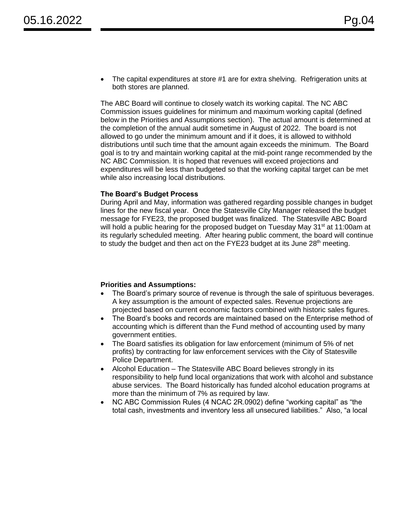• The capital expenditures at store #1 are for extra shelving. Refrigeration units at both stores are planned.

The ABC Board will continue to closely watch its working capital. The NC ABC Commission issues guidelines for minimum and maximum working capital (defined below in the Priorities and Assumptions section). The actual amount is determined at the completion of the annual audit sometime in August of 2022. The board is not allowed to go under the minimum amount and if it does, it is allowed to withhold distributions until such time that the amount again exceeds the minimum. The Board goal is to try and maintain working capital at the mid-point range recommended by the NC ABC Commission. It is hoped that revenues will exceed projections and expenditures will be less than budgeted so that the working capital target can be met while also increasing local distributions.

#### **The Board's Budget Process**

During April and May, information was gathered regarding possible changes in budget lines for the new fiscal year. Once the Statesville City Manager released the budget message for FYE23, the proposed budget was finalized. The Statesville ABC Board will hold a public hearing for the proposed budget on Tuesday May 31<sup>st</sup> at 11:00am at its regularly scheduled meeting. After hearing public comment, the board will continue to study the budget and then act on the FYE23 budget at its June 28<sup>th</sup> meeting.

#### **Priorities and Assumptions:**

- The Board's primary source of revenue is through the sale of spirituous beverages. A key assumption is the amount of expected sales. Revenue projections are projected based on current economic factors combined with historic sales figures.
- The Board's books and records are maintained based on the Enterprise method of accounting which is different than the Fund method of accounting used by many government entities.
- The Board satisfies its obligation for law enforcement (minimum of 5% of net profits) by contracting for law enforcement services with the City of Statesville Police Department.
- Alcohol Education The Statesville ABC Board believes strongly in its responsibility to help fund local organizations that work with alcohol and substance abuse services. The Board historically has funded alcohol education programs at more than the minimum of 7% as required by law.
- NC ABC Commission Rules (4 NCAC 2R.0902) define "working capital" as "the total cash, investments and inventory less all unsecured liabilities." Also, "a local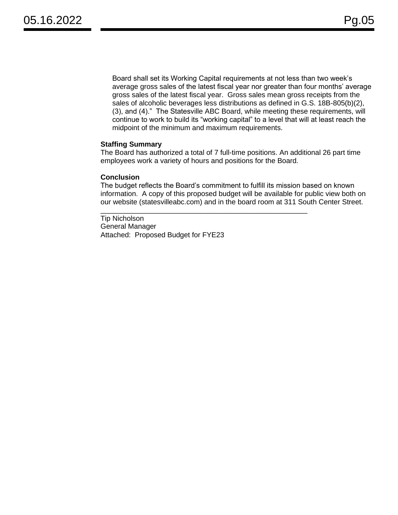Board shall set its Working Capital requirements at not less than two week's average gross sales of the latest fiscal year nor greater than four months' average gross sales of the latest fiscal year. Gross sales mean gross receipts from the sales of alcoholic beverages less distributions as defined in G.S. 18B-805(b)(2), (3), and (4)." The Statesville ABC Board, while meeting these requirements, will continue to work to build its "working capital" to a level that will at least reach the midpoint of the minimum and maximum requirements.

#### **Staffing Summary**

The Board has authorized a total of 7 full-time positions. An additional 26 part time employees work a variety of hours and positions for the Board.

#### **Conclusion**

The budget reflects the Board's commitment to fulfill its mission based on known information. A copy of this proposed budget will be available for public view both on our website (statesvilleabc.com) and in the board room at 311 South Center Street.

\_\_\_\_\_\_\_\_\_\_\_\_\_\_\_\_\_\_\_\_\_\_\_\_\_\_\_\_\_\_\_\_\_\_\_\_\_\_\_\_\_\_\_\_\_\_\_\_\_\_\_\_

Tip Nicholson General Manager Attached: Proposed Budget for FYE23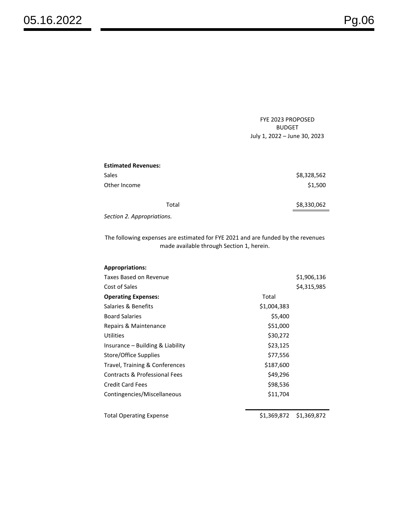FYE 2023 PROPOSED BUDGET July 1, 2022 – June 30, 2023

| <b>Estimated Revenues:</b> |             |
|----------------------------|-------------|
| Sales                      | \$8,328,562 |
| Other Income               | \$1,500     |
| Total                      | \$8,330,062 |
| Section 2. Appropriations. |             |

The following expenses are estimated for FYE 2021 and are funded by the revenues made available through Section 1, herein.

| <b>Appropriations:</b>           |             |             |
|----------------------------------|-------------|-------------|
| Taxes Based on Revenue           |             | \$1,906,136 |
| Cost of Sales                    |             | \$4,315,985 |
| <b>Operating Expenses:</b>       | Total       |             |
| Salaries & Benefits              | \$1,004,383 |             |
| <b>Board Salaries</b>            | \$5,400     |             |
| Repairs & Maintenance            | \$51,000    |             |
| Utilities                        | \$30,272    |             |
| Insurance – Building & Liability | \$23,125    |             |
| Store/Office Supplies            | \$77,556    |             |
| Travel, Training & Conferences   | \$187,600   |             |
| Contracts & Professional Fees    | \$49,296    |             |
| <b>Credit Card Fees</b>          | \$98,536    |             |
| Contingencies/Miscellaneous      | \$11,704    |             |
|                                  |             |             |
| <b>Total Operating Expense</b>   | \$1,369,872 | \$1,369,872 |